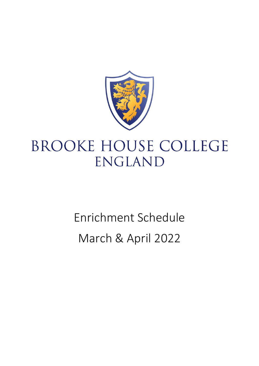

# **BROOKE HOUSE COLLEGE** ENGLAND

# Enrichment Schedule March & April 2022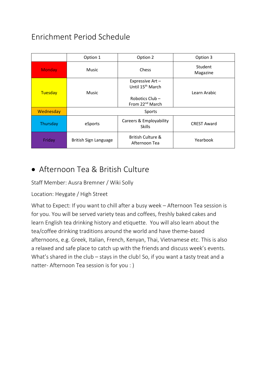#### Enrichment Period Schedule

|               | Option 1              | Option 2                                                                                          | Option 3            |
|---------------|-----------------------|---------------------------------------------------------------------------------------------------|---------------------|
| <b>Monday</b> | <b>Music</b>          | Chess                                                                                             | Student<br>Magazine |
| Tuesday       | <b>Music</b>          | Expressive Art -<br>Until 15 <sup>th</sup> March<br>Robotics Club-<br>From 22 <sup>nd</sup> March | Learn Arabic        |
| Wednesday     | Sports                |                                                                                                   |                     |
| Thursday      | eSports               | Careers & Employability<br><b>Skills</b>                                                          | <b>CREST Award</b>  |
| Friday        | British Sign Language | <b>British Culture &amp;</b><br>Afternoon Tea                                                     | Yearbook            |

#### • Afternoon Tea & British Culture

Staff Member: Ausra Bremner / Wiki Solly

Location: Heygate / High Street

What to Expect: If you want to chill after a busy week – Afternoon Tea session is for you. You will be served variety teas and coffees, freshly baked cakes and learn English tea drinking history and etiquette. You will also learn about the tea/coffee drinking traditions around the world and have theme-based afternoons, e.g. Greek, Italian, French, Kenyan, Thai, Vietnamese etc. This is also a relaxed and safe place to catch up with the friends and discuss week's events. What's shared in the club – stays in the club! So, if you want a tasty treat and a natter- Afternoon Tea session is for you : )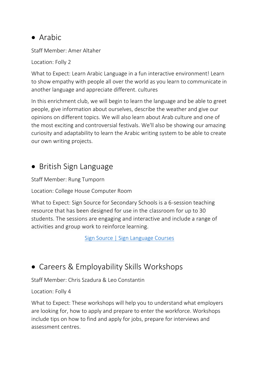#### • Arabic

Staff Member: Amer Altaher

Location: Folly 2

What to Expect: Learn Arabic Language in a fun interactive environment! Learn to show empathy with people all over the world as you learn to communicate in another language and appreciate different. cultures

In this enrichment club, we will begin to learn the language and be able to greet people, give information about ourselves, describe the weather and give our opinions on different topics. We will also learn about Arab culture and one of the most exciting and controversial festivals. We'll also be showing our amazing curiosity and adaptability to learn the Arabic writing system to be able to create our own writing projects.

#### • British Sign Language

Staff Member: Rung Tumporn

Location: College House Computer Room

What to Expect: Sign Source for Secondary Schools is a 6-session teaching resource that has been designed for use in the classroom for up to 30 students. The sessions are engaging and interactive and include a range of activities and group work to reinforce learning.

[Sign Source | Sign Language Courses](https://www.thisissignsource.com/secondary-education) 

## • Careers & Employability Skills Workshops

Staff Member: Chris Szadura & Leo Constantin

Location: Folly 4

What to Expect: These workshops will help you to understand what employers are looking for, how to apply and prepare to enter the workforce. Workshops include tips on how to find and apply for jobs, prepare for interviews and assessment centres.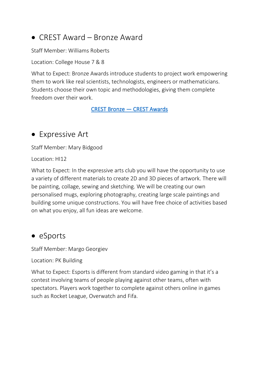#### • CREST Award – Bronze Award

Staff Member: Williams Roberts

Location: College House 7 & 8

What to Expect: Bronze Awards introduce students to project work empowering them to work like real scientists, technologists, engineers or mathematicians. Students choose their own topic and methodologies, giving them complete freedom over their work.

CREST Bronze — [CREST Awards](https://www.crestawards.org/crest-bronze) 

#### • Expressive Art

Staff Member: Mary Bidgood

Location: HI12

What to Expect: In the expressive arts club you will have the opportunity to use a variety of different materials to create 2D and 3D pieces of artwork. There will be painting, collage, sewing and sketching. We will be creating our own personalised mugs, exploring photography, creating large scale paintings and building some unique constructions. You will have free choice of activities based on what you enjoy, all fun ideas are welcome.

#### • eSports

Staff Member: Margo Georgiev

#### Location: PK Building

What to Expect: Esports is different from standard video gaming in that it's a contest involving teams of people playing against other teams, often with spectators. Players work together to complete against others online in games such as Rocket League, Overwatch and Fifa.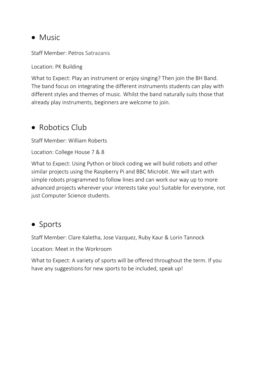#### • Music

Staff Member: Petros Satrazanis

Location: PK Building

What to Expect: Play an instrument or enjoy singing? Then join the BH Band. The band focus on integrating the different instruments students can play with different styles and themes of music. Whilst the band naturally suits those that already play instruments, beginners are welcome to join.

#### • Robotics Club

Staff Member: William Roberts

Location: College House 7 & 8

What to Expect: Using Python or block coding we will build robots and other similar projects using the Raspberry Pi and BBC Microbit. We will start with simple robots programmed to follow lines and can work our way up to more advanced projects wherever your interests take you! Suitable for everyone, not just Computer Science students.

#### • Sports

Staff Member: Clare Kaletha, Jose Vazquez, Ruby Kaur & Lorin Tannock

Location: Meet in the Workroom

What to Expect: A variety of sports will be offered throughout the term. If you have any suggestions for new sports to be included, speak up!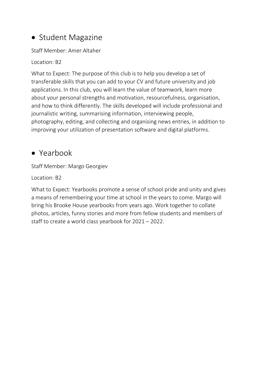#### • Student Magazine

Staff Member: Amer Altaher

Location: B2

What to Expect: The purpose of this club is to help you develop a set of transferable skills that you can add to your CV and future university and job applications. In this club, you will learn the value of teamwork, learn more about your personal strengths and motivation, resourcefulness, organisation, and how to think differently. The skills developed will include professional and journalistic writing, summarising information, interviewing people, photography, editing, and collecting and organising news entries, in addition to improving your utilization of presentation software and digital platforms.

#### • Yearbook

Staff Member: Margo Georgiev

Location: B2

What to Expect: Yearbooks promote a sense of school pride and unity and gives a means of remembering your time at school in the years to come. Margo will bring his Brooke House yearbooks from years ago. Work together to collate photos, articles, funny stories and more from fellow students and members of staff to create a world class yearbook for 2021 – 2022.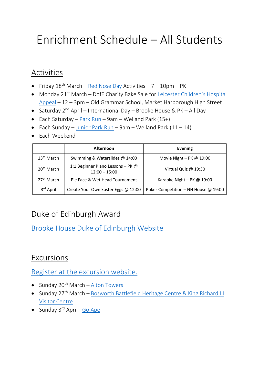## Enrichment Schedule – All Students

#### Activities

- Friday  $18^{th}$  March [Red Nose Day](https://www.comicrelief.com/rednoseday) Activities  $7 10$ pm PK
- Monday 21<sup>st</sup> March DofE Charity Bake Sale for [Leicester Children](https://www.leicesterhospitalscharity.org.uk/childrens-hospital-appeal)'s Hospital [Appeal](https://www.leicesterhospitalscharity.org.uk/childrens-hospital-appeal) – 12 – 3pm – Old Grammar School, Market Harborough High Street
- Saturday  $2^{nd}$  April International Day Brooke House & PK All Day
- Each Saturday [Park Run](https://marketharborough.com/events/leicestershire/market-harborough/sport/park-run/?gde=2021-11-06) 9am Welland Park (15+)
- Each Sunday [Junior Park Run](https://marketharborough.com/events/leicestershire/market-harborough/sport/junior-park-run/?gde=2021-11-07) 9am Welland Park  $(11 14)$
- Each Weekend

|                        | <b>Afternoon</b>                                     | <b>Evening</b>                       |  |
|------------------------|------------------------------------------------------|--------------------------------------|--|
| 13 <sup>th</sup> March | Swimming & Waterslides @ 14:00                       | Movie Night - PK $@$ 19:00           |  |
| 20 <sup>th</sup> March | 1:1 Beginner Piano Lessons - PK @<br>$12:00 - 15:00$ | Virtual Quiz @ 19:30                 |  |
| 27 <sup>th</sup> March | Pie Face & Wet Head Tournament                       | Karaoke Night - PK $@$ 19:00         |  |
| 3rd April              | Create Your Own Easter Eggs @ 12:00                  | Poker Competition - NH House @ 19:00 |  |

### Duke of Edinburgh Award

[Brooke House Duke of Edinburgh Website](https://www.brookehousecollege.co.uk/pastoral/duke-of-edinburghs-award)

#### Excursions

[Register at the excursion website.](https://www.brookehousecollege.co.uk/pastoral/excursions)

- Sunday  $20^{th}$  March Alton Towers
- Sunday 27<sup>th</sup> March [Bosworth Battlefield Heritage Centre](https://www.bosworthbattlefield.org.uk/) & King Richard III [Visitor Centre](https://kriii.com/)
- Sunday 3rd April [Go Ape](https://goape.co.uk/locations/coventry)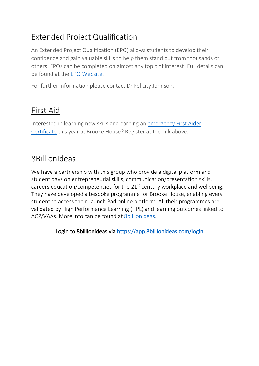#### Extended Project Qualification

An Extended Project Qualification (EPQ) allows students to develop their confidence and gain valuable skills to help them stand out from thousands of others. EPQs can be completed on almost any topic of interest! Full details can be found at the [EPQ Website.](https://www.aqa.org.uk/extended-project-qualification)

For further information please contact Dr Felicity Johnson.

#### First Aid

Interested in learning new skills and earning an [emergency First Aider](https://www.brookehousecollege.co.uk/pastoral/first-aid)  [Certificate](https://www.brookehousecollege.co.uk/pastoral/first-aid) this year at Brooke House? Register at the link above.

#### 8BillionIdeas

We have a partnership with this group who provide a digital platform and student days on entrepreneurial skills, communication/presentation skills, careers education/competencies for the  $21<sup>st</sup>$  century workplace and wellbeing. They have developed a bespoke programme for Brooke House, enabling every student to access their Launch Pad online platform. All their programmes are validated by High Performance Learning (HPL) and learning outcomes linked to ACP/VAAs. More info can be found at [8billionideas.](https://www.8billionideas.com/)

Login to 8billionideas via<https://app.8billionideas.com/login>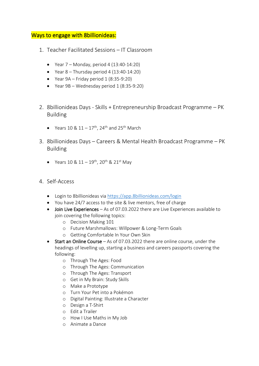#### Ways to engage with 8billionideas:

- 1. Teacher Facilitated Sessions IT Classroom
	- Year  $7 -$  Monday, period 4 (13:40-14:20)
	- Year  $8 -$ Thursday period 4 (13:40-14:20)
	- Year  $9A$  Friday period 1 (8:35-9:20)
	- Year  $9B Wednesday$  period  $1 (8:35-9:20)$
- 2. 8billionideas Days Skills + Entrepreneurship Broadcast Programme PK Building
	- Years  $10 \& 11 17$ <sup>th</sup>, 24<sup>th</sup> and 25<sup>th</sup> March
- 3. 8billionideas Days Careers & Mental Health Broadcast Programme PK Building
	- Years  $10 \& 11 19^{th}$ ,  $20^{th} \& 21^{st}$  May
- 4. Self-Access
	- Login to 8billionideas via<https://app.8billionideas.com/login>
	- You have 24/7 access to the site & live mentors, free of charge
	- Join Live Experiences As of 07.03.2022 there are Live Experiences available to join covering the following topics:
		- o Decision Making 101
		- o Future Marshmallows: Willpower & Long-Term Goals
		- o Getting Comfortable In Your Own Skin
	- Start an Online Course As of 07.03.2022 there are online course, under the headings of levelling up, starting a business and careers passports covering the following:
		- o Through The Ages: Food
		- o Through The Ages: Communication
		- o Through The Ages: Transport
		- o Get in My Brain: Study Skills
		- o Make a Prototype
		- o Turn Your Pet into a Pokémon
		- o Digital Painting: Illustrate a Character
		- o Design a T-Shirt
		- o Edit a Trailer
		- o How I Use Maths in My Job
		- o Animate a Dance